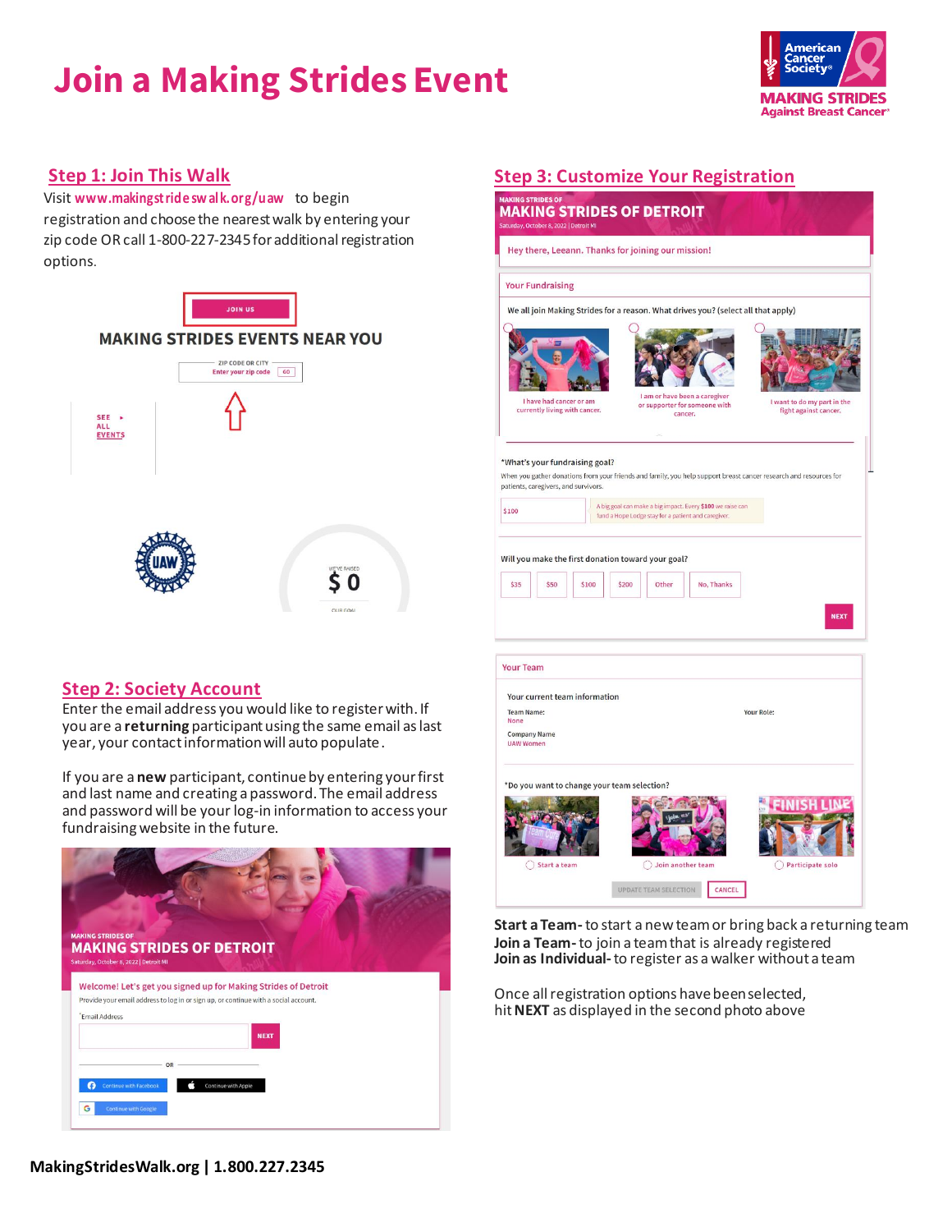## **Join a Making Strides Event**



#### **Step 1: Join This Walk**

Visit **[www.makingstride sw alk.org/uaw](https://secure.acsevents.org/site/SPageServer?company_id=238591&fr_id=94851&pagename=strides_national_company&fr_id=94851)** to begin registration and choose the nearest walk by entering your zip code OR call 1-800-227-2345 for additional registration options.



#### **Step 2: Society Account**

Enter the email address you would like to register with. If you are a **returning** participant using the same email as last year, your contact information will auto populate.

If you are a **new** participant, continue by entering your first and last name and creating a password. The email address and password will be your log-in information to access your fundraising website in the future.



#### **Step 3: Customize Your Registration**

| <b>MAKING STRIDES OF</b><br><b>MAKING STRIDES OF DETROIT</b>                                                                 |                                                                                                                                                                                                                                                                        |                                                      |
|------------------------------------------------------------------------------------------------------------------------------|------------------------------------------------------------------------------------------------------------------------------------------------------------------------------------------------------------------------------------------------------------------------|------------------------------------------------------|
| Saturday, October 8, 2022   Detroit MI                                                                                       | Hey there, Leeann. Thanks for joining our mission!                                                                                                                                                                                                                     |                                                      |
| <b>Your Fundraising</b>                                                                                                      |                                                                                                                                                                                                                                                                        |                                                      |
|                                                                                                                              | We all join Making Strides for a reason. What drives you? (select all that apply)                                                                                                                                                                                      |                                                      |
| I have had cancer or am<br>currently living with cancer.                                                                     | I am or have been a caregiver<br>or supporter for someone with<br>cancer.                                                                                                                                                                                              | I want to do my part in the<br>fight against cancer. |
|                                                                                                                              |                                                                                                                                                                                                                                                                        |                                                      |
| patients, caregivers, and survivors.<br>\$100<br>Will you make the first donation toward your goal?<br>\$100<br>\$35<br>\$50 | When you gather donations from your friends and family, you help support breast cancer research and resources for<br>A big goal can make a big impact. Every \$100 we raise can<br>fund a Hope Lodge stay for a patient and caregiver.<br>\$200<br>Other<br>No, Thanks |                                                      |
|                                                                                                                              |                                                                                                                                                                                                                                                                        | <b>NEXT</b>                                          |
| <b>Your Team</b>                                                                                                             |                                                                                                                                                                                                                                                                        |                                                      |
| Your current team information                                                                                                |                                                                                                                                                                                                                                                                        |                                                      |
| <b>Team Name:</b><br>None                                                                                                    | Your Role:                                                                                                                                                                                                                                                             |                                                      |
| <b>Company Name</b><br><b>UAW Women</b>                                                                                      |                                                                                                                                                                                                                                                                        |                                                      |
| *Do you want to change your team selection?                                                                                  |                                                                                                                                                                                                                                                                        |                                                      |
| Start a team                                                                                                                 | Join another team                                                                                                                                                                                                                                                      | Participate solo                                     |
|                                                                                                                              | UPDATE TEAM SELECTION<br>CANCEL                                                                                                                                                                                                                                        |                                                      |
|                                                                                                                              |                                                                                                                                                                                                                                                                        |                                                      |

**Start a Team-**to start a new team or bring back a returning team **Join a Team-**to join a team that is already registered **Join as Individual-**to register as a walker without a team

Once all registration options have been selected, hit **NEXT** as displayed in the second photo above